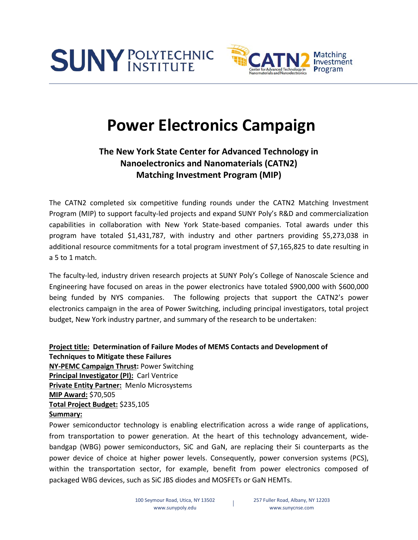



## **Power Electronics Campaign**

## **The New York State Center for Advanced Technology in Nanoelectronics and Nanomaterials (CATN2) Matching Investment Program (MIP)**

The CATN2 completed six competitive funding rounds under the CATN2 Matching Investment Program (MIP) to support faculty-led projects and expand SUNY Poly's R&D and commercialization capabilities in collaboration with New York State-based companies. Total awards under this program have totaled \$1,431,787, with industry and other partners providing \$5,273,038 in additional resource commitments for a total program investment of \$7,165,825 to date resulting in a 5 to 1 match.

The faculty-led, industry driven research projects at SUNY Poly's College of Nanoscale Science and Engineering have focused on areas in the power electronics have totaled \$900,000 with \$600,000 being funded by NYS companies. The following projects that support the CATN2's power electronics campaign in the area of Power Switching, including principal investigators, total project budget, New York industry partner, and summary of the research to be undertaken:

**Project title: Determination of Failure Modes of MEMS Contacts and Development of Techniques to Mitigate these Failures NY-PEMC Campaign Thrust:** Power Switching **Principal Investigator (PI):** Carl Ventrice **Private Entity Partner:** Menlo Microsystems **MIP Award:** \$70,505 **Total Project Budget:** \$235,105 **Summary:**

Power semiconductor technology is enabling electrification across a wide range of applications, from transportation to power generation. At the heart of this technology advancement, widebandgap (WBG) power semiconductors, SiC and GaN, are replacing their Si counterparts as the power device of choice at higher power levels. Consequently, power conversion systems (PCS), within the transportation sector, for example, benefit from power electronics composed of packaged WBG devices, such as SiC JBS diodes and MOSFETs or GaN HEMTs.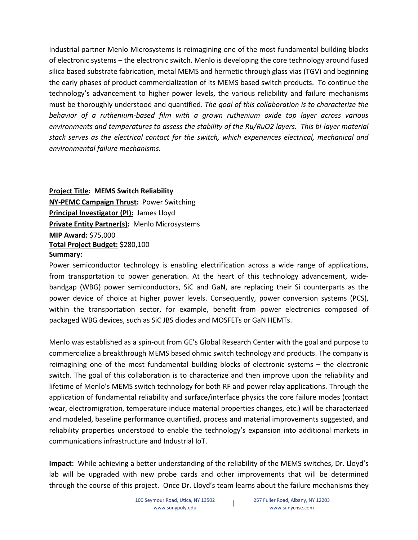Industrial partner Menlo Microsystems is reimagining one of the most fundamental building blocks of electronic systems – the electronic switch. Menlo is developing the core technology around fused silica based substrate fabrication, metal MEMS and hermetic through glass vias (TGV) and beginning the early phases of product commercialization of its MEMS based switch products. To continue the technology's advancement to higher power levels, the various reliability and failure mechanisms must be thoroughly understood and quantified. *The goal of this collaboration is to characterize the behavior of a ruthenium-based film with a grown ruthenium oxide top layer across various environments and temperatures to assess the stability of the Ru/RuO2 layers. This bi-layer material stack serves as the electrical contact for the switch, which experiences electrical, mechanical and environmental failure mechanisms.* 

**Project Title: MEMS Switch Reliability NY-PEMC Campaign Thrust:** Power Switching **Principal Investigator (PI):** James Lloyd **Private Entity Partner(s):** Menlo Microsystems **MIP Award:** \$75,000 **Total Project Budget:** \$280,100 **Summary:**

Power semiconductor technology is enabling electrification across a wide range of applications, from transportation to power generation. At the heart of this technology advancement, widebandgap (WBG) power semiconductors, SiC and GaN, are replacing their Si counterparts as the power device of choice at higher power levels. Consequently, power conversion systems (PCS), within the transportation sector, for example, benefit from power electronics composed of packaged WBG devices, such as SiC JBS diodes and MOSFETs or GaN HEMTs.

Menlo was established as a spin-out from GE's Global Research Center with the goal and purpose to commercialize a breakthrough MEMS based ohmic switch technology and products. The company is reimagining one of the most fundamental building blocks of electronic systems – the electronic switch. The goal of this collaboration is to characterize and then improve upon the reliability and lifetime of Menlo's MEMS switch technology for both RF and power relay applications. Through the application of fundamental reliability and surface/interface physics the core failure modes (contact wear, electromigration, temperature induce material properties changes, etc.) will be characterized and modeled, baseline performance quantified, process and material improvements suggested, and reliability properties understood to enable the technology's expansion into additional markets in communications infrastructure and Industrial IoT.

**Impact:** While achieving a better understanding of the reliability of the MEMS switches, Dr. Lloyd's lab will be upgraded with new probe cards and other improvements that will be determined through the course of this project. Once Dr. Lloyd's team learns about the failure mechanisms they